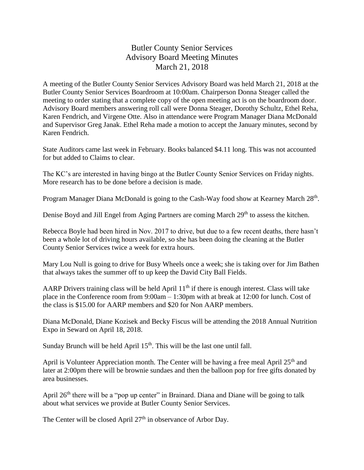## Butler County Senior Services Advisory Board Meeting Minutes March 21, 2018

A meeting of the Butler County Senior Services Advisory Board was held March 21, 2018 at the Butler County Senior Services Boardroom at 10:00am. Chairperson Donna Steager called the meeting to order stating that a complete copy of the open meeting act is on the boardroom door. Advisory Board members answering roll call were Donna Steager, Dorothy Schultz, Ethel Reha, Karen Fendrich, and Virgene Otte. Also in attendance were Program Manager Diana McDonald and Supervisor Greg Janak. Ethel Reha made a motion to accept the January minutes, second by Karen Fendrich.

State Auditors came last week in February. Books balanced \$4.11 long. This was not accounted for but added to Claims to clear.

The KC's are interested in having bingo at the Butler County Senior Services on Friday nights. More research has to be done before a decision is made.

Program Manager Diana McDonald is going to the Cash-Way food show at Kearney March 28<sup>th</sup>.

Denise Boyd and Jill Engel from Aging Partners are coming March 29<sup>th</sup> to assess the kitchen.

Rebecca Boyle had been hired in Nov. 2017 to drive, but due to a few recent deaths, there hasn't been a whole lot of driving hours available, so she has been doing the cleaning at the Butler County Senior Services twice a week for extra hours.

Mary Lou Null is going to drive for Busy Wheels once a week; she is taking over for Jim Bathen that always takes the summer off to up keep the David City Ball Fields.

AARP Drivers training class will be held April  $11<sup>th</sup>$  if there is enough interest. Class will take place in the Conference room from 9:00am – 1:30pm with at break at 12:00 for lunch. Cost of the class is \$15.00 for AARP members and \$20 for Non AARP members.

Diana McDonald, Diane Kozisek and Becky Fiscus will be attending the 2018 Annual Nutrition Expo in Seward on April 18, 2018.

Sunday Brunch will be held April  $15<sup>th</sup>$ . This will be the last one until fall.

April is Volunteer Appreciation month. The Center will be having a free meal April  $25<sup>th</sup>$  and later at 2:00pm there will be brownie sundaes and then the balloon pop for free gifts donated by area businesses.

April  $26<sup>th</sup>$  there will be a "pop up center" in Brainard. Diana and Diane will be going to talk about what services we provide at Butler County Senior Services.

The Center will be closed April 27<sup>th</sup> in observance of Arbor Day.